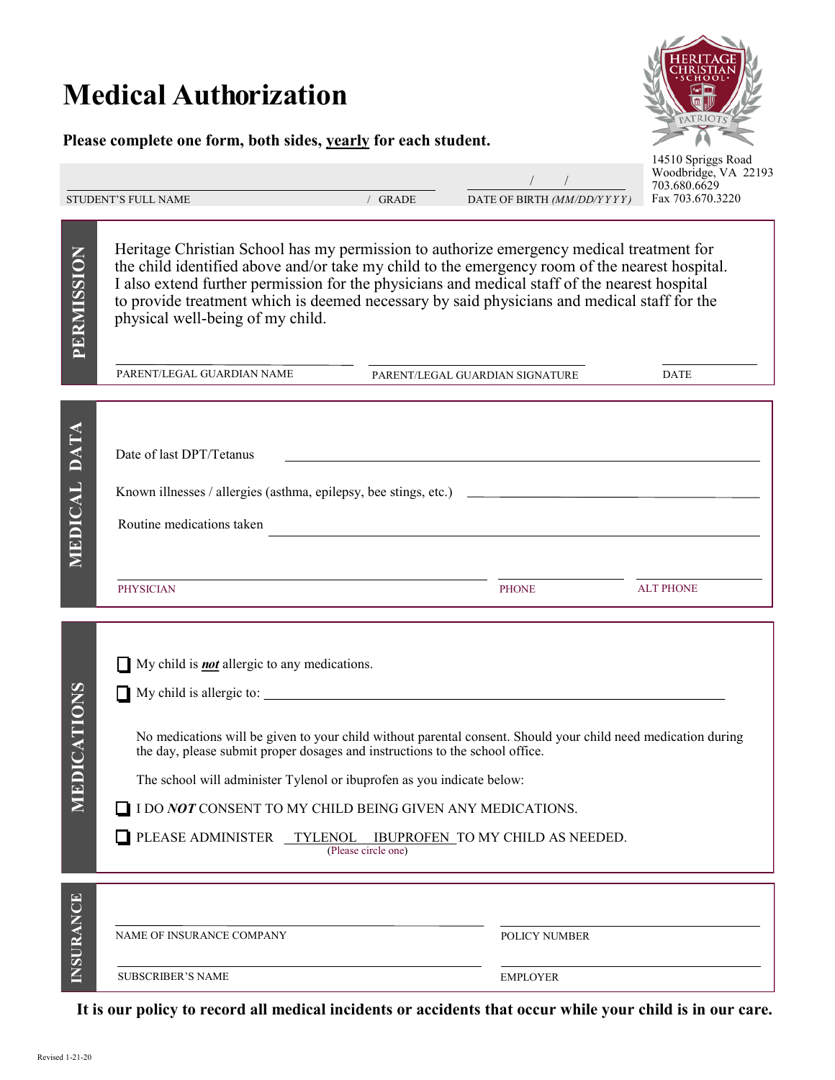## **Medical Authorization**

## **Please complete one form, both sides, yearly for each student.**



| STUDENT'S FULL NAME |  |  |
|---------------------|--|--|
|                     |  |  |

**PERMISSION**

MEDICAL DATA

/ GRADE DATE OF BIRTH *(MM/DD/Y Y Y Y )* / /

14510 Spriggs Road Woodbridge, VA 22193 703.680.6629 Fax 703.670.3220

Heritage Christian School has my permission to authorize emergency medical treatment for the child identified above and/or take my child to the emergency room of the nearest hospital. I also extend further permission for the physicians and medical staff of the nearest hospital to provide treatment which is deemed necessary by said physicians and medical staff for the physical well-being of my child.

My child is *not* allergic to any medications.

 $\Box$  My child is allergic to:

PARENT/LEGAL GUARDIAN NAME DATE PARENT/LEGAL GUARDIAN SIGNATURE

| <b>DATA</b><br>MEDICAL | Date of last DPT/Tetanus<br>Known illnesses / allergies (asthma, epilepsy, bee stings, etc.) _______________<br>Routine medications taken |              |                  |
|------------------------|-------------------------------------------------------------------------------------------------------------------------------------------|--------------|------------------|
|                        | <b>PHYSICIAN</b>                                                                                                                          | <b>PHONE</b> | <b>ALT PHONE</b> |

No medications will be given to your child without parental consent. Should your child need medication during

**MEDICATIONS**  MEDICATIONS **MEDICATIONS** 

The school will administer Tylenol or ibuprofen as you indicate below:

 $\hfill\Box$  I DO  $NOT$  CONSENT TO MY CHILD BEING GIVEN ANY MEDICATIONS.

the day, please submit proper dosages and instructions to the school office.

PLEASE ADMINISTER TYLENOL IBUPROFEN TO MY CHILD AS NEEDED. (Please circle one)

NAME OF INSURANCE COMPANY POLICY NUMBER SUBSCRIBER'S NAME EMPLOYER

**It is our policy to record all medical incidents or accidents that occur while your child is in our care.**